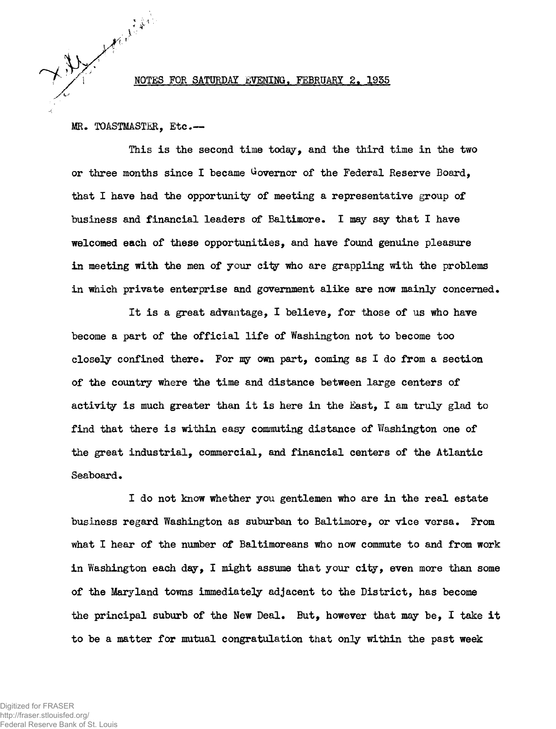NOTES FOR SATURDAY EVENING, FEBRUARY 2. 1935

MR. TOASTMASTER, Etc.-

This is the second time today, and the third time in the two or three months since I became Governor of the Federal Reserve Board, that I have had the opportunity of meeting a representative group of business and financial leaders of Baltimore. I may say that I have welcomed each of these opportunities, and have found genuine pleasure in meeting with the men of your city who are grappling with the problems in which private enterprise and government alike are now mainly concerned.

It is a great advantage, I believe, for those of us who have become a part of the official life of Washington not to become too closely confined there. For ny own part, coming as I do from a section of the country where the time and distance between large centers of activity is much greater than it is here in the East, I am truly glad to find that there is within easy commuting distance of Washington one of the great industrial, commercial, and financial centers of the Atlantic Seaboard.

I do not know whether you gentlemen who are in the real estate business regard Washington as suburban to Baltimore, or vice versa. From what I hear of the number of Baltimoreans who now commute to and from work in Washington each day, I might assume that your city, even more than some of the Maryland towns immediately adjacent to the District, has become the principal suburb of the New Deal. But, however that may be, I take it to be a matter for mutual congratulation that only within the past week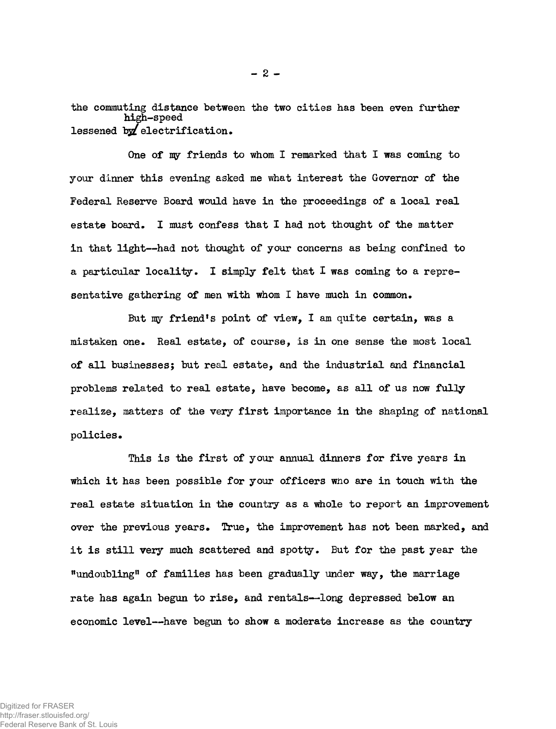the commuting distance between the two cities has been even further high-speed lessened *\ssL* electrification.

 $- 2 -$ 

One of my friends to whom I remarked that I was coming to your dinner this evening asked me what interest the Governor of the Federal Reserve Board would have in the proceedings of a local real estate board. I must confess that I had not thought of the matter in that light— had not thought of your concerns as being confined to a particular locality. I simply felt that I was coming to a representative gathering of men with whom I have much in common.

But my friend's point of view, I am quite certain, was a mistaken one. Real estate, of course, is in one sense the most local of all businesses; but real estate, and the industrial and financial problems related to real estate, have become, as all of us now fully realize, matters of the very first importance in the shaping of national policies.

This is the first of your annual dinners for five years in which it has been possible for your officers who are in touch with the real estate situation in the country as a whole to report an improvement over the previous years. True, the improvement has not been marked, and it is still very much scattered and spotty. But for the past year the "undoubling" of families has been gradually under way, the marriage rate has again begun to rise, and rentals— long depressed below an economic level— have begun to show a moderate increase as the country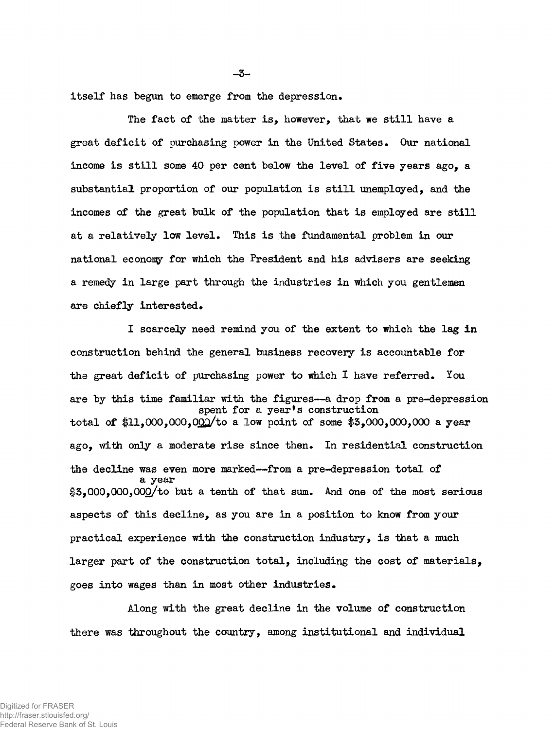itself has begun to emerge from the depression.

The fact of the matter is, however, that we still have a great deficit of purchasing power in the United States. Our national income is still some 40 per cent below the level of five years ago, a substantial proportion of our population is still unemployed, and the incomes of the great bulk of the population that is employed are still at a relatively low level. This is the fundamental problem in our national econony for which the President and his advisers are seeking a remedy in large part through the industries in which you gentlemen are chiefly interested.

I scarcely need remind you of the extent to which the lag in construction behind the general business recovery is accountable for the great deficit of purchasing power to which I have referred. You are by this time familiar with the figures—a drop from a pre-depression spent for a year's construction total of  $1,000,000,000$  to a low point of some  $$3,000,000,000$  a year ago, with only a moderate rise since then. In residential construction the decline was even more marked— from a pre-depression total of a year \$3,000,000,000/to but a tenth of that sum. And one of the most serious aspects of this decline, as you are in a position to know from your practical experience with the construction industry, is that a much larger part of the construction total, including the cost of materials, goes into wages than in most other industries.

Along with the great decline in the volume of construction there was throughout the country, among institutional and individual

 $-3-$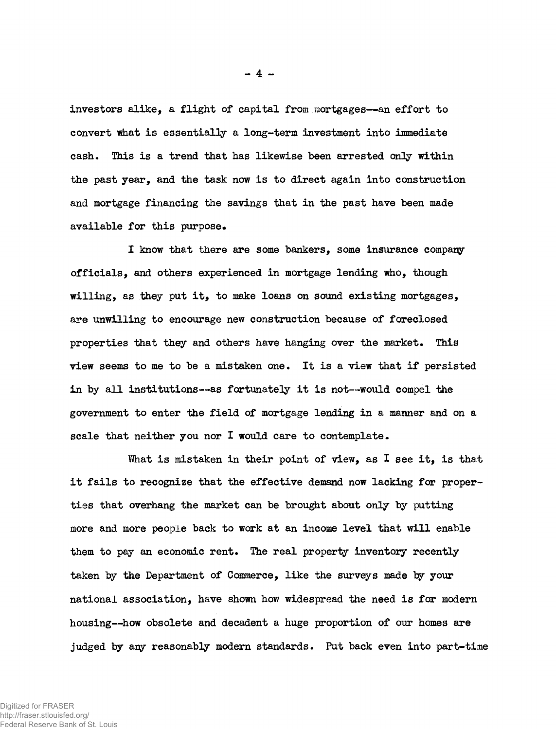investors alike, a flight of capital from mortgages— an effort to convert what is essentially a long-term investment into immediate cash. This is a trend that has likewise been arrested only within the past year, and the task now is to direct again into construction and mortgage financing the savings that in the past have been made available for this purpose.

I know that there are some bankers, some insurance company officials, and others experienced in mortgage lending who, though willing, as they put it, to make loans on sound existing mortgages, are unwilling to encourage new construction because of foreclosed properties that they and others have hanging over the market. This view seems to me to be a mistaken one. It is a view that if persisted in by all institutions— as fortunately it is not— would compel the government to enter the field of mortgage lending in a manner and on a scale that neither you nor I would care to contemplate.

What is mistaken in their point of view, as I see it, is that it fails to recognize that the effective demand now lacking for properties that overhang the market can be brought about only by putting more and more people back to work at an income level that will enable them to pay an economic rent. The real property inventory recently taken by the Department of Commerce, like the surveys made by your national association, have shown how widespread the need is for modern housing— how obsolete and decadent a huge proportion of our homes are judged by any reasonably modern standards. Put back even into part-time

 $- 4 -$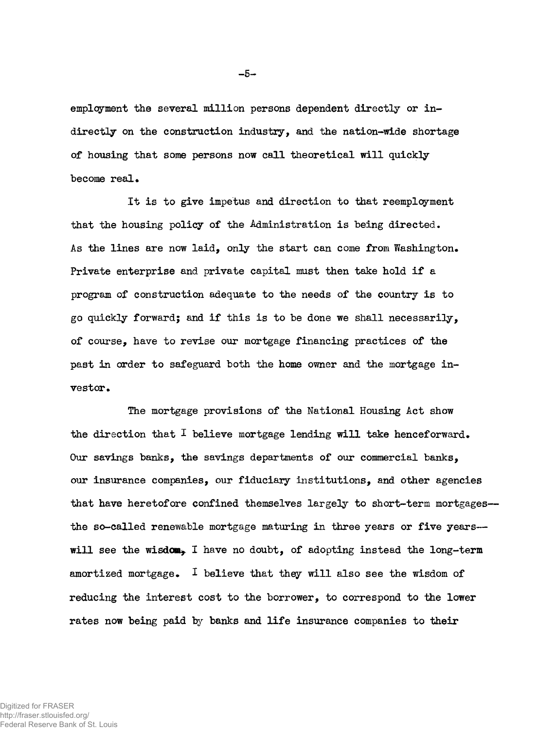emplcyment the several million persons dependent directly or indirectly on the construction industry, and the nation-wide shortage of housing that some persons now call theoretical will quickly become real.

It is to give impetus and direction to that reemployment that the housing policy of the Administration is being directed. As the lines are now laid, only the start can come from Washington. Private enterprise and private capital must then take hold if a program of construction adequate to the needs of the country is to go quickly forward; and if this is to be done we shall necessarily, of course, have to revise our mortgage financing practices of the past in order to safeguard both the home owner and the mortgage investor.

The mortgage provisions of the National Housing Act show the direction that  $I$  believe mortgage lending will take henceforward. Our savings banks, the savings departments of our commercial banks, our insurance companies, our fiduciary institutions, and other agencies that have heretofore confined themselves largely to short-term mortgages the so-called renewable mortgage maturing in three years or five years will see the wisdom, I have no doubt, of adopting instead the long-term amortized mortgage. I believe that they will also see the wisdom of reducing the interest cost to the borrower, to correspond to the lower rates now being paid by banks and life insurance companies to their